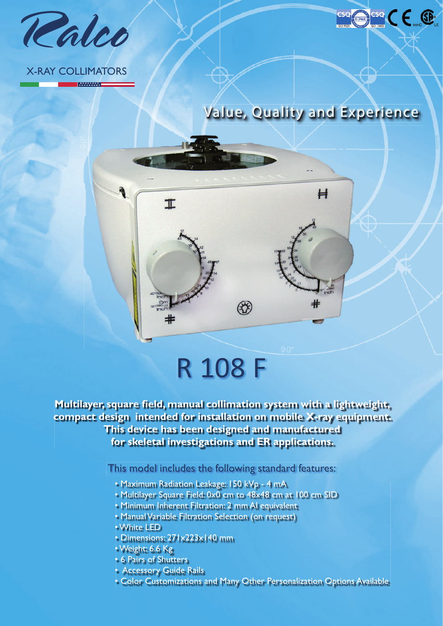

### X-RAY COLLIMATORS

**MANAWAT** 

Value, Quality and Experience

ese CE ®

# $H$  $\mathbf I$  $\circledast$

## R 108 F

**Multilayer, square field, manual collimation system with a lightweight, compact design intended for installation on mobile X-ray equipment. This device has been designed and manufactured for skeletal investigations and ER applications.**

This model includes the following standard features:

- Maximum Radiation Leakage: 150 kVp 4 mA
- Multilayer Square Field: 0x0 cm to 48x48 cm at 100 cm SID
- Minimum Inherent Filtration: 2 mm Al equivalent
- Manual Variable Filtration Selection (on request)
- White LED
- Dimensions: 271x223x140 mm
- Weight: 6.6 Kg
- 6 Pairs of Shutters
- Accessory Guide Rails
- Color Customizations and Many Other Personalization Options Available